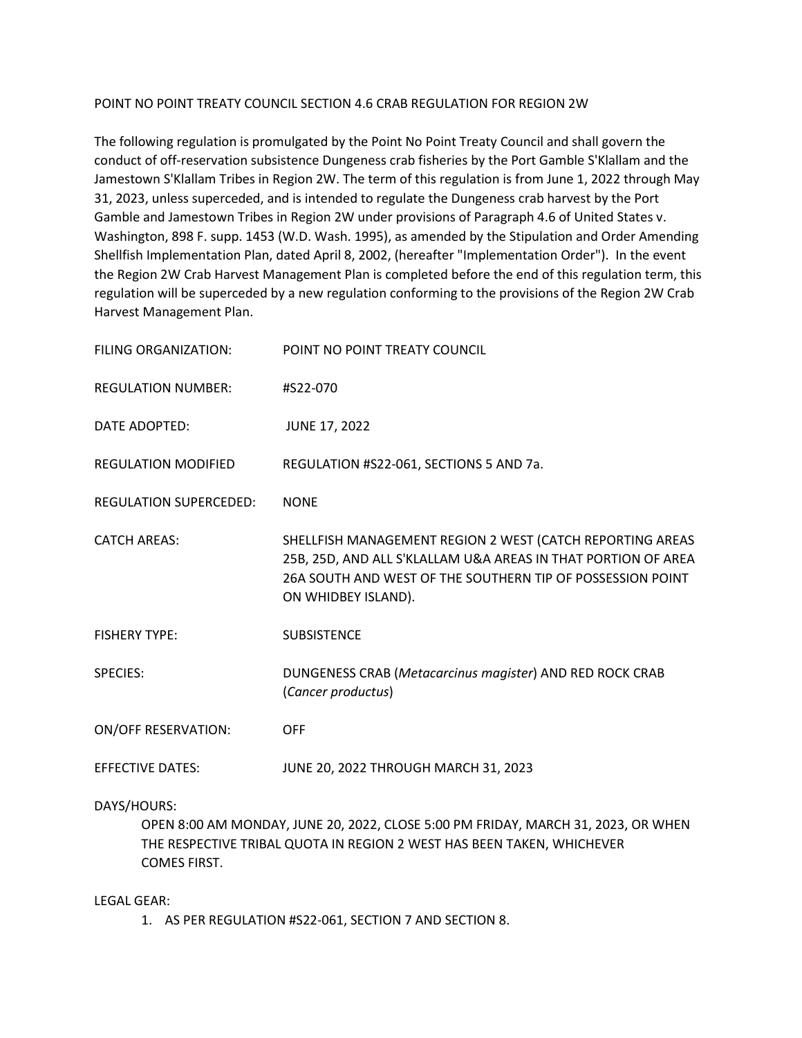## POINT NO POINT TREATY COUNCIL SECTION 4.6 CRAB REGULATION FOR REGION 2W

The following regulation is promulgated by the Point No Point Treaty Council and shall govern the conduct of off-reservation subsistence Dungeness crab fisheries by the Port Gamble S'Klallam and the Jamestown S'Klallam Tribes in Region 2W. The term of this regulation is from June 1, 2022 through May 31, 2023, unless superceded, and is intended to regulate the Dungeness crab harvest by the Port Gamble and Jamestown Tribes in Region 2W under provisions of Paragraph 4.6 of United States v. Washington, 898 F. supp. 1453 (W.D. Wash. 1995), as amended by the Stipulation and Order Amending Shellfish Implementation Plan, dated April 8, 2002, (hereafter "Implementation Order"). In the event the Region 2W Crab Harvest Management Plan is completed before the end of this regulation term, this regulation will be superceded by a new regulation conforming to the provisions of the Region 2W Crab Harvest Management Plan.

| FILING ORGANIZATION:          | POINT NO POINT TREATY COUNCIL                                                                                                                                                                                   |
|-------------------------------|-----------------------------------------------------------------------------------------------------------------------------------------------------------------------------------------------------------------|
| <b>REGULATION NUMBER:</b>     | #S22-070                                                                                                                                                                                                        |
| DATE ADOPTED:                 | <b>JUNE 17, 2022</b>                                                                                                                                                                                            |
| <b>REGULATION MODIFIED</b>    | REGULATION #S22-061, SECTIONS 5 AND 7a.                                                                                                                                                                         |
| <b>REGULATION SUPERCEDED:</b> | <b>NONE</b>                                                                                                                                                                                                     |
| <b>CATCH AREAS:</b>           | SHELLFISH MANAGEMENT REGION 2 WEST (CATCH REPORTING AREAS<br>25B, 25D, AND ALL S'KLALLAM U&A AREAS IN THAT PORTION OF AREA<br>26A SOUTH AND WEST OF THE SOUTHERN TIP OF POSSESSION POINT<br>ON WHIDBEY ISLAND). |
| <b>FISHERY TYPE:</b>          | <b>SUBSISTENCE</b>                                                                                                                                                                                              |
| <b>SPECIES:</b>               | DUNGENESS CRAB (Metacarcinus magister) AND RED ROCK CRAB<br>(Cancer productus)                                                                                                                                  |
| <b>ON/OFF RESERVATION:</b>    | <b>OFF</b>                                                                                                                                                                                                      |
| <b>EFFECTIVE DATES:</b>       | JUNE 20, 2022 THROUGH MARCH 31, 2023                                                                                                                                                                            |

## DAYS/HOURS:

OPEN 8:00 AM MONDAY, JUNE 20, 2022, CLOSE 5:00 PM FRIDAY, MARCH 31, 2023, OR WHEN THE RESPECTIVE TRIBAL QUOTA IN REGION 2 WEST HAS BEEN TAKEN, WHICHEVER COMES FIRST.

## LEGAL GEAR:

1. AS PER REGULATION #S22-061, SECTION 7 AND SECTION 8.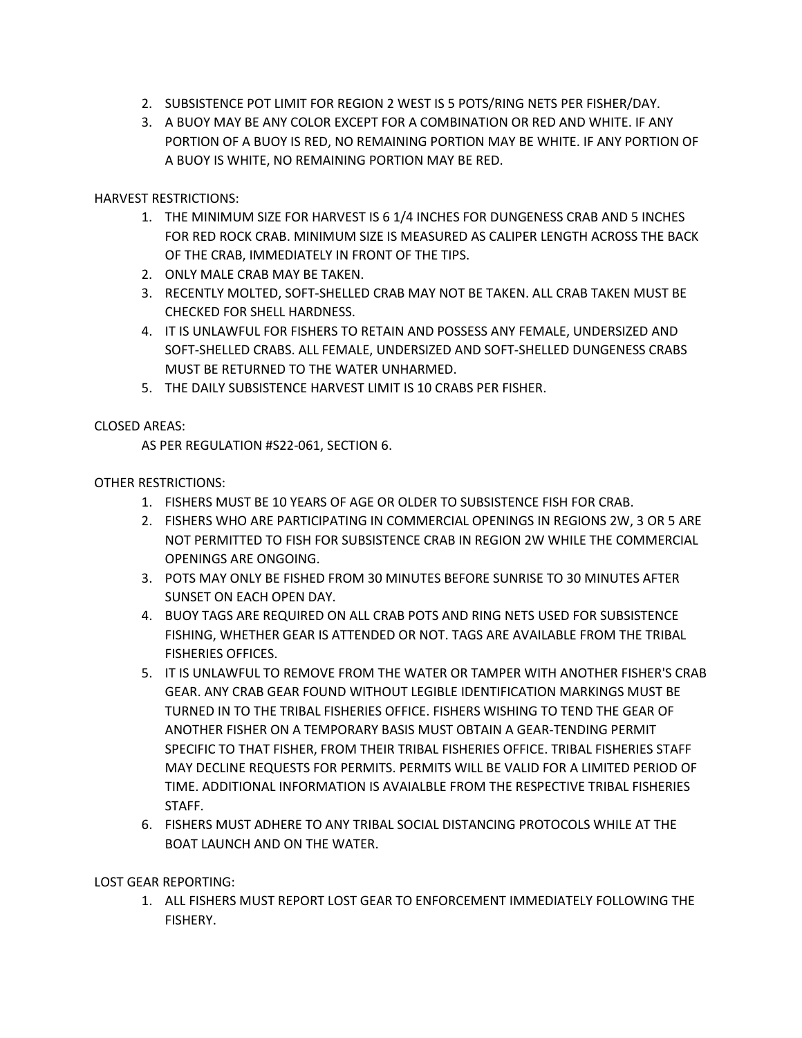- 2. SUBSISTENCE POT LIMIT FOR REGION 2 WEST IS 5 POTS/RING NETS PER FISHER/DAY.
- 3. A BUOY MAY BE ANY COLOR EXCEPT FOR A COMBINATION OR RED AND WHITE. IF ANY PORTION OF A BUOY IS RED, NO REMAINING PORTION MAY BE WHITE. IF ANY PORTION OF A BUOY IS WHITE, NO REMAINING PORTION MAY BE RED.

HARVEST RESTRICTIONS:

- 1. THE MINIMUM SIZE FOR HARVEST IS 6 1/4 INCHES FOR DUNGENESS CRAB AND 5 INCHES FOR RED ROCK CRAB. MINIMUM SIZE IS MEASURED AS CALIPER LENGTH ACROSS THE BACK OF THE CRAB, IMMEDIATELY IN FRONT OF THE TIPS.
- 2. ONLY MALE CRAB MAY BE TAKEN.
- 3. RECENTLY MOLTED, SOFT-SHELLED CRAB MAY NOT BE TAKEN. ALL CRAB TAKEN MUST BE CHECKED FOR SHELL HARDNESS.
- 4. IT IS UNLAWFUL FOR FISHERS TO RETAIN AND POSSESS ANY FEMALE, UNDERSIZED AND SOFT-SHELLED CRABS. ALL FEMALE, UNDERSIZED AND SOFT-SHELLED DUNGENESS CRABS MUST BE RETURNED TO THE WATER UNHARMED.
- 5. THE DAILY SUBSISTENCE HARVEST LIMIT IS 10 CRABS PER FISHER.

# CLOSED AREAS:

AS PER REGULATION #S22-061, SECTION 6.

## OTHER RESTRICTIONS:

- 1. FISHERS MUST BE 10 YEARS OF AGE OR OLDER TO SUBSISTENCE FISH FOR CRAB.
- 2. FISHERS WHO ARE PARTICIPATING IN COMMERCIAL OPENINGS IN REGIONS 2W, 3 OR 5 ARE NOT PERMITTED TO FISH FOR SUBSISTENCE CRAB IN REGION 2W WHILE THE COMMERCIAL OPENINGS ARE ONGOING.
- 3. POTS MAY ONLY BE FISHED FROM 30 MINUTES BEFORE SUNRISE TO 30 MINUTES AFTER SUNSET ON EACH OPEN DAY.
- 4. BUOY TAGS ARE REQUIRED ON ALL CRAB POTS AND RING NETS USED FOR SUBSISTENCE FISHING, WHETHER GEAR IS ATTENDED OR NOT. TAGS ARE AVAILABLE FROM THE TRIBAL FISHERIES OFFICES.
- 5. IT IS UNLAWFUL TO REMOVE FROM THE WATER OR TAMPER WITH ANOTHER FISHER'S CRAB GEAR. ANY CRAB GEAR FOUND WITHOUT LEGIBLE IDENTIFICATION MARKINGS MUST BE TURNED IN TO THE TRIBAL FISHERIES OFFICE. FISHERS WISHING TO TEND THE GEAR OF ANOTHER FISHER ON A TEMPORARY BASIS MUST OBTAIN A GEAR-TENDING PERMIT SPECIFIC TO THAT FISHER, FROM THEIR TRIBAL FISHERIES OFFICE. TRIBAL FISHERIES STAFF MAY DECLINE REQUESTS FOR PERMITS. PERMITS WILL BE VALID FOR A LIMITED PERIOD OF TIME. ADDITIONAL INFORMATION IS AVAIALBLE FROM THE RESPECTIVE TRIBAL FISHERIES STAFF.
- 6. FISHERS MUST ADHERE TO ANY TRIBAL SOCIAL DISTANCING PROTOCOLS WHILE AT THE BOAT LAUNCH AND ON THE WATER.

LOST GEAR REPORTING:

1. ALL FISHERS MUST REPORT LOST GEAR TO ENFORCEMENT IMMEDIATELY FOLLOWING THE FISHERY.